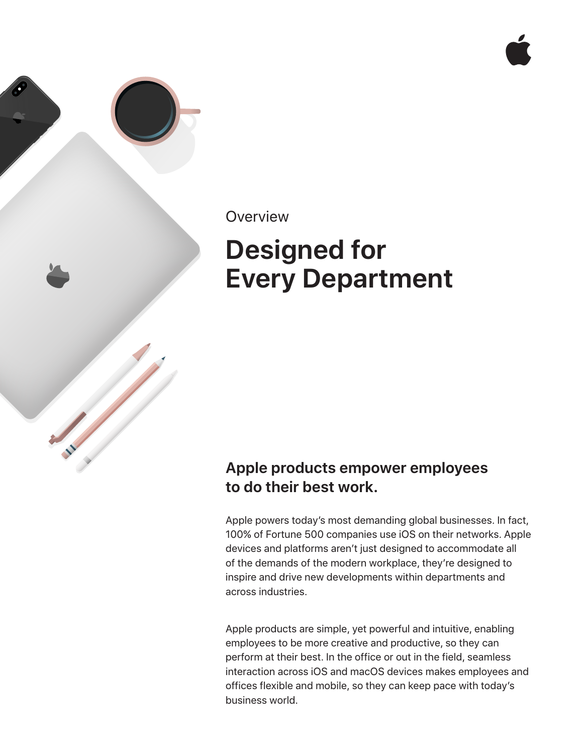

### **Overview**

# **Designed for Every Department**

## **Apple products empower employees to do their best work.**

Apple powers today's most demanding global businesses. In fact, 100% of Fortune 500 companies use iOS on their networks. Apple devices and platforms aren't just designed to accommodate all of the demands of the modern workplace, they're designed to inspire and drive new developments within departments and across industries.

Apple products are simple, yet powerful and intuitive, enabling employees to be more creative and productive, so they can perform at their best. In the office or out in the field, seamless interaction across iOS and macOS devices makes employees and offices flexible and mobile, so they can keep pace with today's business world.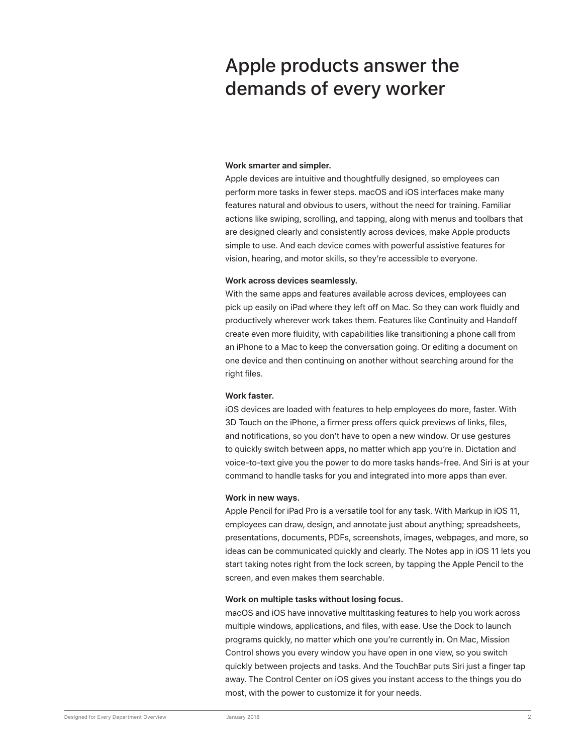# Apple products answer the demands of every worker

#### **Work smarter and simpler.**

Apple devices are intuitive and thoughtfully designed, so employees can perform more tasks in fewer steps. macOS and iOS interfaces make many features natural and obvious to users, without the need for training. Familiar actions like swiping, scrolling, and tapping, along with menus and toolbars that are designed clearly and consistently across devices, make Apple products simple to use. And each device comes with powerful assistive features for vision, hearing, and motor skills, so they're accessible to everyone.

#### **Work across devices seamlessly.**

With the same apps and features available across devices, employees can pick up easily on iPad where they left off on Mac. So they can work fluidly and productively wherever work takes them. Features like Continuity and Handoff create even more fluidity, with capabilities like transitioning a phone call from an iPhone to a Mac to keep the conversation going. Or editing a document on one device and then continuing on another without searching around for the right files.

#### **Work faster.**

iOS devices are loaded with features to help employees do more, faster. With 3D Touch on the iPhone, a firmer press offers quick previews of links, files, and notifications, so you don't have to open a new window. Or use gestures to quickly switch between apps, no matter which app you're in. Dictation and voice-to-text give you the power to do more tasks hands-free. And Siri is at your command to handle tasks for you and integrated into more apps than ever.

#### **Work in new ways.**

Apple Pencil for iPad Pro is a versatile tool for any task. With Markup in iOS 11, employees can draw, design, and annotate just about anything; spreadsheets, presentations, documents, PDFs, screenshots, images, webpages, and more, so ideas can be communicated quickly and clearly. The Notes app in iOS 11 lets you start taking notes right from the lock screen, by tapping the Apple Pencil to the screen, and even makes them searchable.

#### **Work on multiple tasks without losing focus.**

macOS and iOS have innovative multitasking features to help you work across multiple windows, applications, and files, with ease. Use the Dock to launch programs quickly, no matter which one you're currently in. On Mac, Mission Control shows you every window you have open in one view, so you switch quickly between projects and tasks. And the TouchBar puts Siri just a finger tap away. The Control Center on iOS gives you instant access to the things you do most, with the power to customize it for your needs.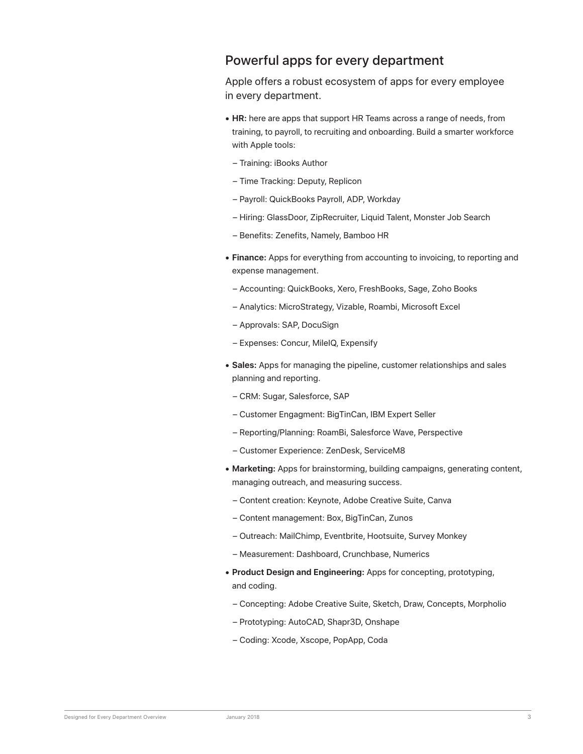### Powerful apps for every department

Apple offers a robust ecosystem of apps for every employee in every department.

- **• HR:** here are apps that support HR Teams across a range of needs, from training, to payroll, to recruiting and onboarding. Build a smarter workforce with Apple tools:
	- Training: iBooks Author
	- Time Tracking: Deputy, Replicon
	- Payroll: QuickBooks Payroll, ADP, Workday
	- Hiring: GlassDoor, ZipRecruiter, Liquid Talent, Monster Job Search
	- Benefits: Zenefits, Namely, Bamboo HR
- **• Finance:** Apps for everything from accounting to invoicing, to reporting and expense management.
	- Accounting: QuickBooks, Xero, FreshBooks, Sage, Zoho Books
	- Analytics: MicroStrategy, Vizable, Roambi, Microsoft Excel
	- Approvals: SAP, DocuSign
	- Expenses: Concur, MileIQ, Expensify
- **• Sales:** Apps for managing the pipeline, customer relationships and sales planning and reporting.
	- CRM: Sugar, Salesforce, SAP
	- Customer Engagment: BigTinCan, IBM Expert Seller
	- Reporting/Planning: RoamBi, Salesforce Wave, Perspective
	- Customer Experience: ZenDesk, ServiceM8
- **• Marketing:** Apps for brainstorming, building campaigns, generating content, managing outreach, and measuring success.
	- Content creation: Keynote, Adobe Creative Suite, Canva
	- Content management: Box, BigTinCan, Zunos
	- Outreach: MailChimp, Eventbrite, Hootsuite, Survey Monkey
	- Measurement: Dashboard, Crunchbase, Numerics
- **• Product Design and Engineering:** Apps for concepting, prototyping, and coding.
	- Concepting: Adobe Creative Suite, Sketch, Draw, Concepts, Morpholio
	- Prototyping: AutoCAD, Shapr3D, Onshape
	- Coding: Xcode, Xscope, PopApp, Coda